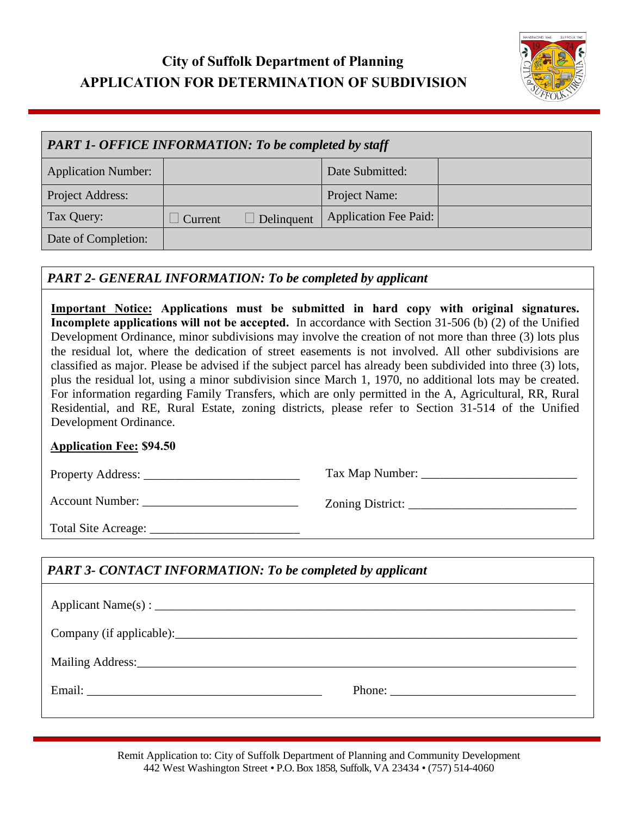# **City of Suffolk Department of Planning APPLICATION FOR DETERMINATION OF SUBDIVISION**



| <b>PART 1- OFFICE INFORMATION: To be completed by staff</b> |         |            |                              |  |  |
|-------------------------------------------------------------|---------|------------|------------------------------|--|--|
| <b>Application Number:</b>                                  |         |            | Date Submitted:              |  |  |
| Project Address:                                            |         |            | Project Name:                |  |  |
| Tax Query:                                                  | Current | Delinquent | <b>Application Fee Paid:</b> |  |  |
| Date of Completion:                                         |         |            |                              |  |  |

### *PART 2- GENERAL INFORMATION: To be completed by applicant*

**Important Notice: Applications must be submitted in hard copy with original signatures. Incomplete applications will not be accepted.** In accordance with Section 31-506 (b) (2) of the Unified Development Ordinance, minor subdivisions may involve the creation of not more than three (3) lots plus the residual lot, where the dedication of street easements is not involved. All other subdivisions are classified as major. Please be advised if the subject parcel has already been subdivided into three (3) lots, plus the residual lot, using a minor subdivision since March 1, 1970, no additional lots may be created. For information regarding Family Transfers, which are only permitted in the A, Agricultural, RR, Rural Residential, and RE, Rural Estate, zoning districts, please refer to Section 31-514 of the Unified Development Ordinance.

#### **Application Fee: \$94.50**

Property Address: \_\_\_\_\_\_\_\_\_\_\_\_\_\_\_\_\_\_\_\_\_\_\_\_\_ Tax Map Number: \_\_\_\_\_\_\_\_\_\_\_\_\_\_\_\_\_\_\_\_\_\_\_\_\_

Account Number: \_\_\_\_\_\_\_\_\_\_\_\_\_\_\_\_\_\_\_\_\_\_\_\_\_ Zoning District: \_\_\_\_\_\_\_\_\_\_\_\_\_\_\_\_\_\_\_\_\_\_\_\_\_\_\_

Total Site Acreage:

## *PART 3- CONTACT INFORMATION: To be completed by applicant*

| Company (if applicable): |  |  |  |  |  |
|--------------------------|--|--|--|--|--|
|                          |  |  |  |  |  |
|                          |  |  |  |  |  |

Remit Application to: City of Suffolk Department of Planning and Community Development 442 West Washington Street • P.O. Box 1858, Suffolk, VA 23434 • (757) 514-4060